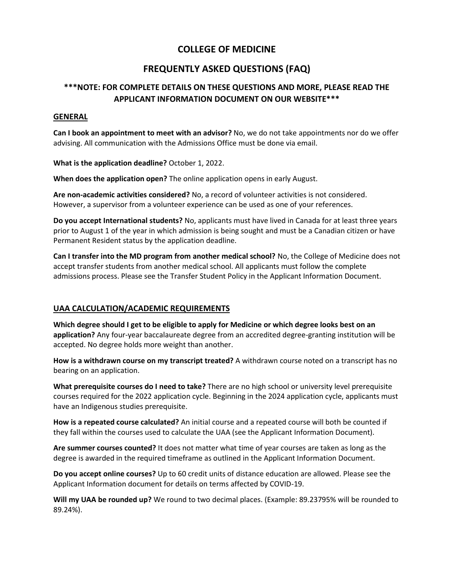# **COLLEGE OF MEDICINE**

# **FREQUENTLY ASKED QUESTIONS (FAQ)**

# **\*\*\*NOTE: FOR COMPLETE DETAILS ON THESE QUESTIONS AND MORE, PLEASE READ THE APPLICANT INFORMATION DOCUMENT ON OUR WEBSITE\*\*\***

#### **GENERAL**

**Can I book an appointment to meet with an advisor?** No, we do not take appointments nor do we offer advising. All communication with the Admissions Office must be done via email.

**What is the application deadline?** October 1, 2022.

**When does the application open?** The online application opens in early August.

**Are non-academic activities considered?** No, a record of volunteer activities is not considered. However, a supervisor from a volunteer experience can be used as one of your references.

**Do you accept International students?** No, applicants must have lived in Canada for at least three years prior to August 1 of the year in which admission is being sought and must be a Canadian citizen or have Permanent Resident status by the application deadline.

**Can I transfer into the MD program from another medical school?** No, the College of Medicine does not accept transfer students from another medical school. All applicants must follow the complete admissions process. Please see the Transfer Student Policy in the Applicant Information Document.

### **UAA CALCULATION/ACADEMIC REQUIREMENTS**

**Which degree should I get to be eligible to apply for Medicine or which degree looks best on an application?** Any four-year baccalaureate degree from an accredited degree-granting institution will be accepted. No degree holds more weight than another.

**How is a withdrawn course on my transcript treated?** A withdrawn course noted on a transcript has no bearing on an application.

**What prerequisite courses do I need to take?** There are no high school or university level prerequisite courses required for the 2022 application cycle. Beginning in the 2024 application cycle, applicants must have an Indigenous studies prerequisite.

**How is a repeated course calculated?** An initial course and a repeated course will both be counted if they fall within the courses used to calculate the UAA (see the Applicant Information Document).

**Are summer courses counted?** It does not matter what time of year courses are taken as long as the degree is awarded in the required timeframe as outlined in the Applicant Information Document.

**Do you accept online courses?** Up to 60 credit units of distance education are allowed. Please see the Applicant Information document for details on terms affected by COVID-19.

**Will my UAA be rounded up?** We round to two decimal places. (Example: 89.23795% will be rounded to 89.24%).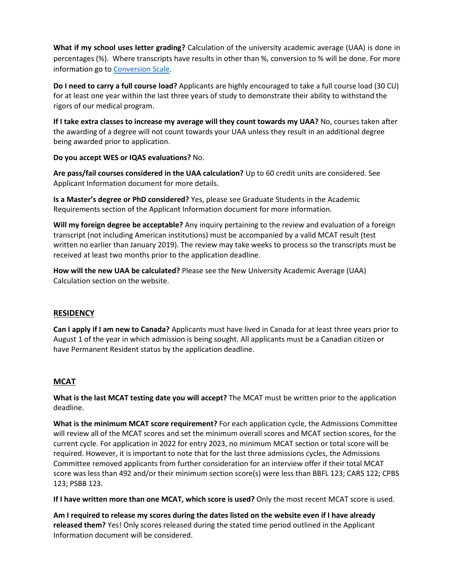**What if my school uses letter grading?** Calculation of the university academic average (UAA) is done in percentages (%). Where transcripts have results in other than %, conversion to % will be done. For more information go to [Conversion Scale.](https://medicine.usask.ca/documents/Admissions/grade-conversion-scales.pdf)

**Do I need to carry a full course load?** Applicants are highly encouraged to take a full course load (30 CU) for at least one year within the last three years of study to demonstrate their ability to withstand the rigors of our medical program.

**If I take extra classes to increase my average will they count towards my UAA?** No, courses taken after the awarding of a degree will not count towards your UAA unless they result in an additional degree being awarded prior to application.

**Do you accept WES or IQAS evaluations?** No.

**Are pass/fail courses considered in the UAA calculation?** Up to 60 credit units are considered. See Applicant Information document for more details.

**Is a Master's degree or PhD considered?** Yes, please see Graduate Students in the Academic Requirements section of the Applicant Information document for more information.

**Will my foreign degree be acceptable?** Any inquiry pertaining to the review and evaluation of a foreign transcript (not including American institutions) must be accompanied by a valid MCAT result (test written no earlier than January 2019). The review may take weeks to process so the transcripts must be received at least two months prior to the application deadline.

**How will the new UAA be calculated?** Please see the New University Academic Average (UAA) Calculation section on the website.

### **RESIDENCY**

**Can I apply if I am new to Canada?** Applicants must have lived in Canada for at least three years prior to August 1 of the year in which admission is being sought. All applicants must be a Canadian citizen or have Permanent Resident status by the application deadline.

### **MCAT**

**What is the last MCAT testing date you will accept?** The MCAT must be written prior to the application deadline.

**What is the minimum MCAT score requirement?** For each application cycle, the Admissions Committee will review all of the MCAT scores and set the minimum overall scores and MCAT section scores, for the current cycle. For application in 2022 for entry 2023, no minimum MCAT section or total score will be required. However, it is important to note that for the last three admissions cycles, the Admissions Committee removed applicants from further consideration for an interview offer if their total MCAT score was less than 492 and/or their minimum section score(s) were less than BBFL 123; CARS 122; CPBS 123; PSBB 123.

**If I have written more than one MCAT, which score is used?** Only the most recent MCAT score is used.

**Am I required to release my scores during the dates listed on the website even if I have already released them?** Yes! Only scores released during the stated time period outlined in the Applicant Information document will be considered.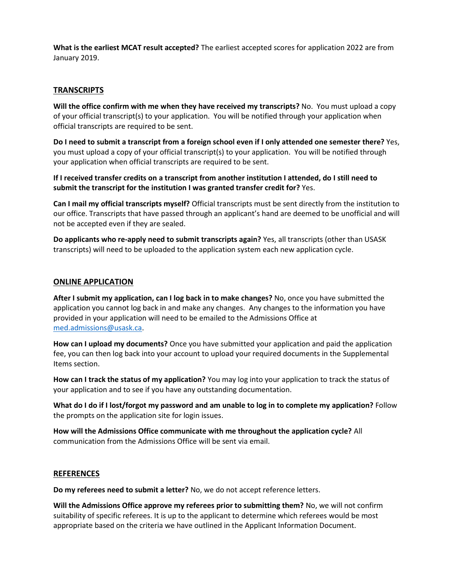**What is the earliest MCAT result accepted?** The earliest accepted scores for application 2022 are from January 2019.

#### **TRANSCRIPTS**

**Will the office confirm with me when they have received my transcripts?** No. You must upload a copy of your official transcript(s) to your application. You will be notified through your application when official transcripts are required to be sent.

**Do I need to submit a transcript from a foreign school even if I only attended one semester there?** Yes, you must upload a copy of your official transcript(s) to your application. You will be notified through your application when official transcripts are required to be sent.

**If I received transfer credits on a transcript from another institution I attended, do I still need to submit the transcript for the institution I was granted transfer credit for?** Yes.

**Can I mail my official transcripts myself?** Official transcripts must be sent directly from the institution to our office. Transcripts that have passed through an applicant's hand are deemed to be unofficial and will not be accepted even if they are sealed.

**Do applicants who re-apply need to submit transcripts again?** Yes, all transcripts (other than USASK transcripts) will need to be uploaded to the application system each new application cycle.

#### **ONLINE APPLICATION**

**After I submit my application, can I log back in to make changes?** No, once you have submitted the application you cannot log back in and make any changes. Any changes to the information you have provided in your application will need to be emailed to the Admissions Office at [med.admissions@usask.ca.](mailto:med.admissions@usask.ca)

**How can I upload my documents?** Once you have submitted your application and paid the application fee, you can then log back into your account to upload your required documents in the Supplemental Items section.

**How can I track the status of my application?** You may log into your application to track the status of your application and to see if you have any outstanding documentation.

**What do I do if I lost/forgot my password and am unable to log in to complete my application?** Follow the prompts on the application site for login issues.

**How will the Admissions Office communicate with me throughout the application cycle?** All communication from the Admissions Office will be sent via email.

#### **REFERENCES**

**Do my referees need to submit a letter?** No, we do not accept reference letters.

**Will the Admissions Office approve my referees prior to submitting them?** No, we will not confirm suitability of specific referees. It is up to the applicant to determine which referees would be most appropriate based on the criteria we have outlined in the Applicant Information Document.